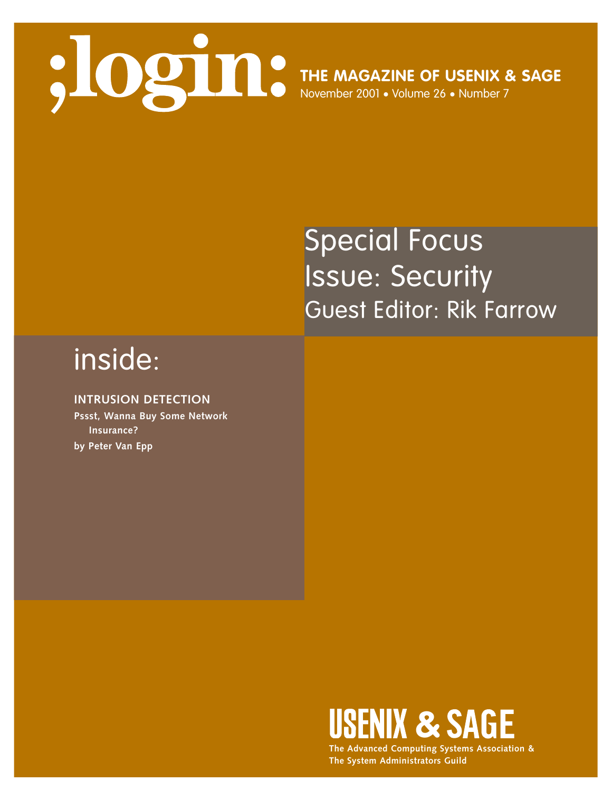

# Special Focus Issue: Security Guest Editor: Rik Farrow

# inside:

## **INTRUSION DETECTION**

**Pssst, Wanna Buy Some Network Insurance? by Peter Van Epp**



**The Advanced Computing Systems Association & The System Administrators Guild**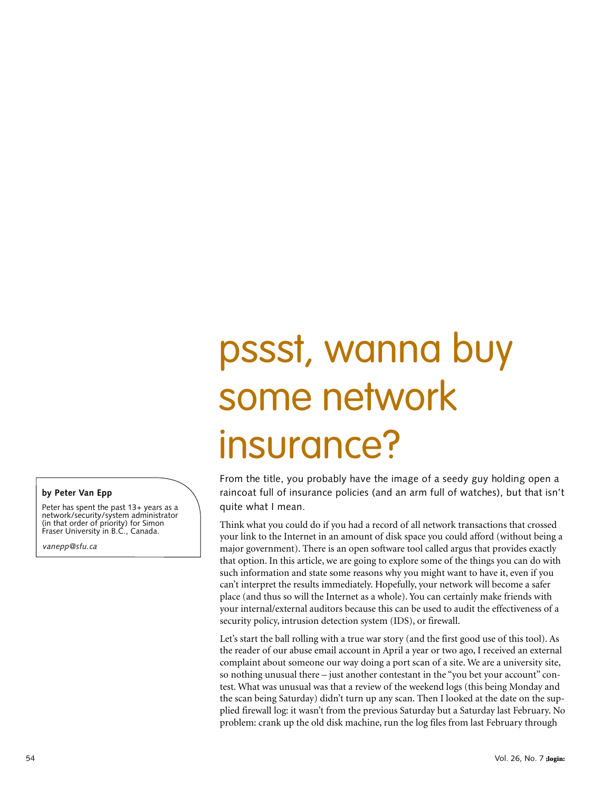# pssst, wanna buy some network insurance?

From the title, you probably have the image of a seedy guy holding open a raincoat full of insurance policies (and an arm full of watches), but that isn't quite what I mean.

Think what you could do if you had a record of all network transactions that crossed your link to the Internet in an amount of disk space you could afford (without being a major government). There is an open software tool called argus that provides exactly that option. In this article, we are going to explore some of the things you can do with such information and state some reasons why you might want to have it, even if you can't interpret the results immediately. Hopefully, your network will become a safer place (and thus so will the Internet as a whole). You can certainly make friends with your internal/external auditors because this can be used to audit the effectiveness of a security policy, intrusion detection system (IDS), or firewall.

Let's start the ball rolling with a true war story (and the first good use of this tool). As the reader of our abuse email account in April a year or two ago, I received an external complaint about someone our way doing a port scan of a site. We are a university site, so nothing unusual there – just another contestant in the "you bet your account" contest. What was unusual was that a review of the weekend logs (this being Monday and the scan being Saturday) didn't turn up any scan. Then I looked at the date on the supplied firewall log: it wasn't from the previous Saturday but a Saturday last February. No problem: crank up the old disk machine, run the log files from last February through

#### **by Peter Van Epp**

Peter has spent the past 13+ years as a network/security/system administrator (in that order of priority) for Simon Fraser University in B.C., Canada.

*vanepp@sfu.ca*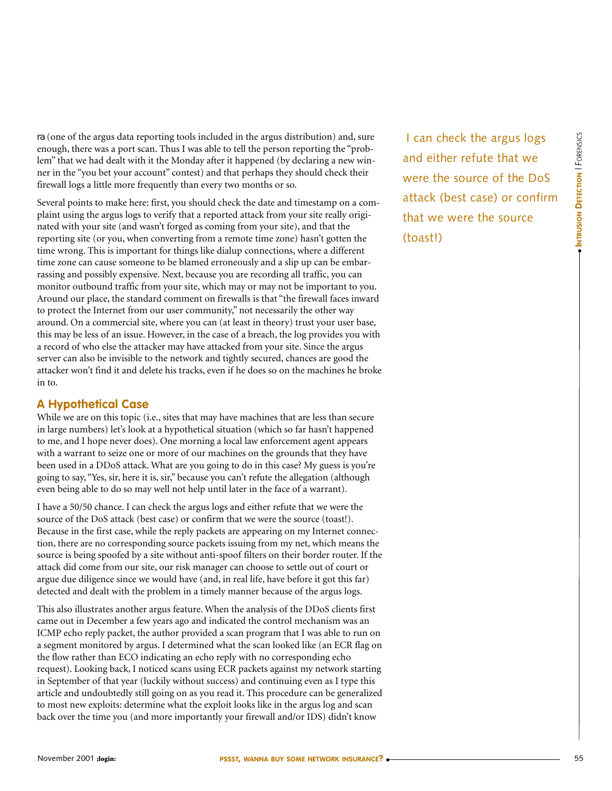ra (one of the argus data reporting tools included in the argus distribution) and, sure enough, there was a port scan. Thus I was able to tell the person reporting the "problem" that we had dealt with it the Monday after it happened (by declaring a new winner in the "you bet your account" contest) and that perhaps they should check their firewall logs a little more frequently than every two months or so.

Several points to make here: first, you should check the date and timestamp on a complaint using the argus logs to verify that a reported attack from your site really originated with your site (and wasn't forged as coming from your site), and that the reporting site (or you, when converting from a remote time zone) hasn't gotten the time wrong. This is important for things like dialup connections, where a different time zone can cause someone to be blamed erroneously and a slip up can be embarrassing and possibly expensive. Next, because you are recording all traffic, you can monitor outbound traffic from your site, which may or may not be important to you. Around our place, the standard comment on firewalls is that "the firewall faces inward to protect the Internet from our user community," not necessarily the other way around. On a commercial site, where you can (at least in theory) trust your user base, this may be less of an issue. However, in the case of a breach, the log provides you with a record of who else the attacker may have attacked from your site. Since the argus server can also be invisible to the network and tightly secured, chances are good the attacker won't find it and delete his tracks, even if he does so on the machines he broke in to.

## **A Hypothetical Case**

While we are on this topic (i.e., sites that may have machines that are less than secure in large numbers) let's look at a hypothetical situation (which so far hasn't happened to me, and I hope never does). One morning a local law enforcement agent appears with a warrant to seize one or more of our machines on the grounds that they have been used in a DDoS attack. What are you going to do in this case? My guess is you're going to say, "Yes, sir, here it is, sir," because you can't refute the allegation (although even being able to do so may well not help until later in the face of a warrant).

I have a 50/50 chance. I can check the argus logs and either refute that we were the source of the DoS attack (best case) or confirm that we were the source (toast!). Because in the first case, while the reply packets are appearing on my Internet connection, there are no corresponding source packets issuing from my net, which means the source is being spoofed by a site without anti-spoof filters on their border router. If the attack did come from our site, our risk manager can choose to settle out of court or argue due diligence since we would have (and, in real life, have before it got this far) detected and dealt with the problem in a timely manner because of the argus logs.

This also illustrates another argus feature. When the analysis of the DDoS clients first came out in December a few years ago and indicated the control mechanism was an ICMP echo reply packet, the author provided a scan program that I was able to run on a segment monitored by argus. I determined what the scan looked like (an ECR flag on the flow rather than ECO indicating an echo reply with no corresponding echo request). Looking back, I noticed scans using ECR packets against my network starting in September of that year (luckily without success) and continuing even as I type this article and undoubtedly still going on as you read it. This procedure can be generalized to most new exploits: determine what the exploit looks like in the argus log and scan back over the time you (and more importantly your firewall and/or IDS) didn't know

I can check the argus logs and either refute that we were the source of the DoS attack (best case) or confirm that we were the source (toast!)

● **INTRUSION**

**INTRUSION DETECTION | FORENSICS DETECTION** | FORENSICS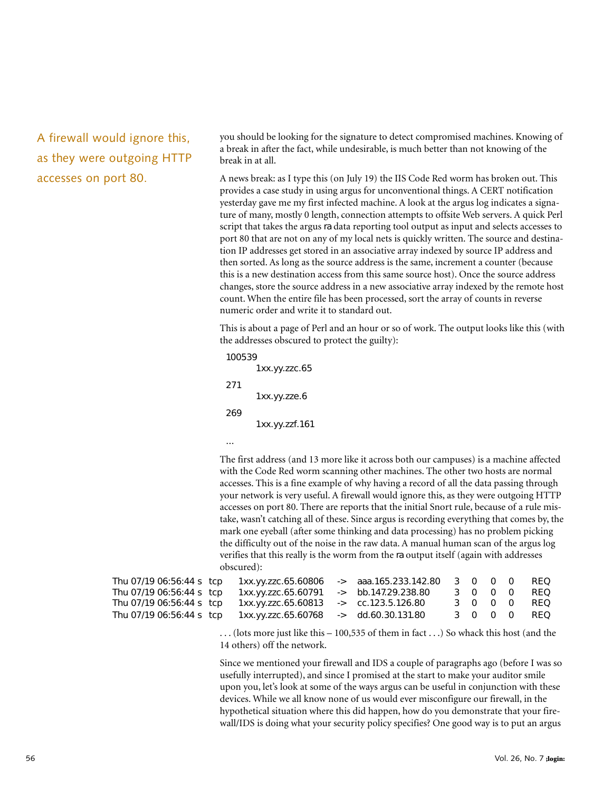A firewall would ignore this, as they were outgoing HTTP accesses on port 80.

you should be looking for the signature to detect compromised machines. Knowing of a break in after the fact, while undesirable, is much better than not knowing of the break in at all.

A news break: as I type this (on July 19) the IIS Code Red worm has broken out. This provides a case study in using argus for unconventional things. A CERT notification yesterday gave me my first infected machine. A look at the argus log indicates a signature of many, mostly 0 length, connection attempts to offsite Web servers. A quick Perl script that takes the argus ra data reporting tool output as input and selects accesses to port 80 that are not on any of my local nets is quickly written. The source and destination IP addresses get stored in an associative array indexed by source IP address and then sorted. As long as the source address is the same, increment a counter (because this is a new destination access from this same source host). Once the source address changes, store the source address in a new associative array indexed by the remote host count. When the entire file has been processed, sort the array of counts in reverse numeric order and write it to standard out.

This is about a page of Perl and an hour or so of work. The output looks like this (with the addresses obscured to protect the guilty):

```
100539 
       1xx.yy.zzc.65
271 
       1xx.yy.zze.6
269 
       1xx.yy.zzf.161
```
...

The first address (and 13 more like it across both our campuses) is a machine affected with the Code Red worm scanning other machines. The other two hosts are normal accesses. This is a fine example of why having a record of all the data passing through your network is very useful. A firewall would ignore this, as they were outgoing HTTP accesses on port 80. There are reports that the initial Snort rule, because of a rule mistake, wasn't catching all of these. Since argus is recording everything that comes by, the mark one eyeball (after some thinking and data processing) has no problem picking the difficulty out of the noise in the raw data. A manual human scan of the argus log verifies that this really is the worm from the ra output itself (again with addresses obscured):

| Thu 07/19 06:56:44 s tc  |  |
|--------------------------|--|
| Thu 07/19 06:56:44 s tc  |  |
| Thu 07/19 06:56:44 s tc  |  |
| Thu 07/19 06:56:44 s tcl |  |

|                           |                                          | Thu 07/19 06:56:44 s tcp  1xx.yy.zzc.65.60806 -> aaa.165.233.142.80  3  0  0  0  REQ |  |  |             |
|---------------------------|------------------------------------------|--------------------------------------------------------------------------------------|--|--|-------------|
| Thu 07/19 06:56:44 s_tcp_ | 1xx.yy.zzc.65.60791  -> bb.147.29.238.80 |                                                                                      |  |  | 3 0 0 0 REQ |
| Thu 07/19 06:56:44 s tcp  | 1xx.yy.zzc.65.60813 -> cc.123.5.126.80   |                                                                                      |  |  | 3 0 0 0 REQ |
|                           |                                          |                                                                                      |  |  | 3 0 0 0 REQ |
|                           |                                          |                                                                                      |  |  |             |

 $\dots$  (lots more just like this  $-100,535$  of them in fact  $\dots$  ) So whack this host (and the 14 others) off the network.

Since we mentioned your firewall and IDS a couple of paragraphs ago (before I was so usefully interrupted), and since I promised at the start to make your auditor smile upon you, let's look at some of the ways argus can be useful in conjunction with these devices. While we all know none of us would ever misconfigure our firewall, in the hypothetical situation where this did happen, how do you demonstrate that your firewall/IDS is doing what your security policy specifies? One good way is to put an argus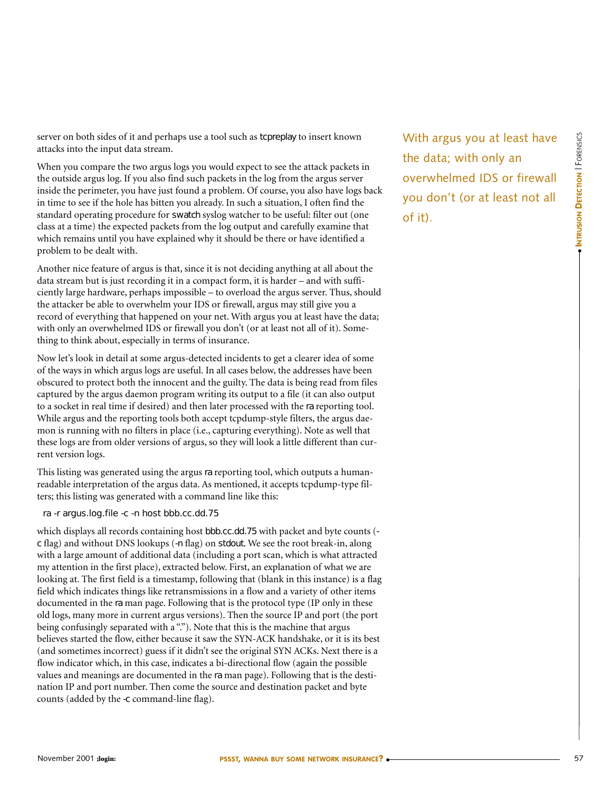server on both sides of it and perhaps use a tool such as tcpreplay to insert known attacks into the input data stream.

When you compare the two argus logs you would expect to see the attack packets in the outside argus log. If you also find such packets in the log from the argus server inside the perimeter, you have just found a problem. Of course, you also have logs back in time to see if the hole has bitten you already. In such a situation, I often find the standard operating procedure for swatch syslog watcher to be useful: filter out (one class at a time) the expected packets from the log output and carefully examine that which remains until you have explained why it should be there or have identified a problem to be dealt with.

Another nice feature of argus is that, since it is not deciding anything at all about the data stream but is just recording it in a compact form, it is harder – and with sufficiently large hardware, perhaps impossible – to overload the argus server. Thus, should the attacker be able to overwhelm your IDS or firewall, argus may still give you a record of everything that happened on your net. With argus you at least have the data; with only an overwhelmed IDS or firewall you don't (or at least not all of it). Something to think about, especially in terms of insurance.

Now let's look in detail at some argus-detected incidents to get a clearer idea of some of the ways in which argus logs are useful. In all cases below, the addresses have been obscured to protect both the innocent and the guilty. The data is being read from files captured by the argus daemon program writing its output to a file (it can also output to a socket in real time if desired) and then later processed with the ra reporting tool. While argus and the reporting tools both accept tcpdump-style filters, the argus daemon is running with no filters in place (i.e., capturing everything). Note as well that these logs are from older versions of argus, so they will look a little different than current version logs.

This listing was generated using the argus ra reporting tool, which outputs a humanreadable interpretation of the argus data. As mentioned, it accepts tcpdump-type filters; this listing was generated with a command line like this:

ra -r argus.log.file -c -n host bbb.cc.dd.75

which displays all records containing host bbb.cc.dd.75 with packet and byte counts ( c flag) and without DNS lookups (-n flag) on stdout. We see the root break-in, along with a large amount of additional data (including a port scan, which is what attracted my attention in the first place), extracted below. First, an explanation of what we are looking at. The first field is a timestamp, following that (blank in this instance) is a flag field which indicates things like retransmissions in a flow and a variety of other items documented in the ra man page. Following that is the protocol type (IP only in these old logs, many more in current argus versions). Then the source IP and port (the port being confusingly separated with a "."). Note that this is the machine that argus believes started the flow, either because it saw the SYN-ACK handshake, or it is its best (and sometimes incorrect) guess if it didn't see the original SYN ACKs. Next there is a flow indicator which, in this case, indicates a bi-directional flow (again the possible values and meanings are documented in the ra man page). Following that is the destination IP and port number. Then come the source and destination packet and byte counts (added by the -c command-line flag).

With argus you at least have the data; with only an overwhelmed IDS or firewall you don't (or at least not all of it).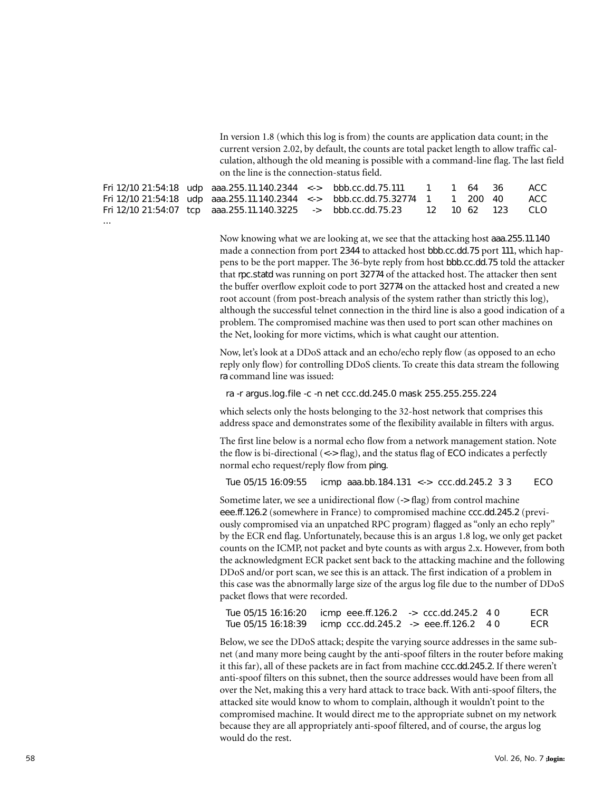In version 1.8 (which this log is from) the counts are application data count; in the current version 2.02, by default, the counts are total packet length to allow traffic calculation, although the old meaning is possible with a command-line flag. The last field on the line is the connection-status field.

|          | Fri 12/10 21:54:18 udp aaa.255.11.140.2344 <-> bbb.cc.dd.75.111 1 1 64 36      |  |  |  | ACC |
|----------|--------------------------------------------------------------------------------|--|--|--|-----|
|          | Fri 12/10 21:54:18 udp aaa.255.11.140.2344 <-> bbb.cc.dd.75.32774 1 1 200 40   |  |  |  | ACC |
|          | Fri 12/10 21:54:07 tcp aaa.255.11.140.3225 -> bbb.cc.dd.75.23 12 10 62 123 CLO |  |  |  |     |
| $\cdots$ |                                                                                |  |  |  |     |

Now knowing what we are looking at, we see that the attacking host aaa.255.11.140 made a connection from port 2344 to attacked host bbb.cc.dd.75 port 111, which happens to be the port mapper. The 36-byte reply from host bbb.cc.dd.75 told the attacker that rpc.statd was running on port 32774 of the attacked host. The attacker then sent the buffer overflow exploit code to port 32774 on the attacked host and created a new root account (from post-breach analysis of the system rather than strictly this log), although the successful telnet connection in the third line is also a good indication of a problem. The compromised machine was then used to port scan other machines on the Net, looking for more victims, which is what caught our attention.

Now, let's look at a DDoS attack and an echo/echo reply flow (as opposed to an echo reply only flow) for controlling DDoS clients. To create this data stream the following ra command line was issued:

ra -r argus.log.file -c -n net ccc.dd.245.0 mask 255.255.255.224

which selects only the hosts belonging to the 32-host network that comprises this address space and demonstrates some of the flexibility available in filters with argus.

The first line below is a normal echo flow from a network management station. Note the flow is bi-directional  $(\langle - \rangle$  flag), and the status flag of ECO indicates a perfectly normal echo request/reply flow from ping.

Tue 05/15 16:09:55 icmp aaa.bb.184.131 <-> ccc.dd.245.2 3 3 ECO

Sometime later, we see a unidirectional flow (-> flag) from control machine eee.ff.126.2 (somewhere in France) to compromised machine ccc.dd.245.2 (previously compromised via an unpatched RPC program) flagged as "only an echo reply" by the ECR end flag. Unfortunately, because this is an argus 1.8 log, we only get packet counts on the ICMP, not packet and byte counts as with argus 2.x. However, from both the acknowledgment ECR packet sent back to the attacking machine and the following DDoS and/or port scan, we see this is an attack. The first indication of a problem in this case was the abnormally large size of the argus log file due to the number of DDoS packet flows that were recorded.

| Tue 05/15 16:16:20 | icmp eee.ff.126.2 -> ccc.dd.245.2 4 0                 |  | ECR |
|--------------------|-------------------------------------------------------|--|-----|
| Tue 05/15 16:18:39 | $\mu$ icmp ccc.dd.245.2 $\rightarrow$ eee.ff.126.2 40 |  | ECR |

Below, we see the DDoS attack; despite the varying source addresses in the same subnet (and many more being caught by the anti-spoof filters in the router before making it this far), all of these packets are in fact from machine ccc.dd.245.2. If there weren't anti-spoof filters on this subnet, then the source addresses would have been from all over the Net, making this a very hard attack to trace back. With anti-spoof filters, the attacked site would know to whom to complain, although it wouldn't point to the compromised machine. It would direct me to the appropriate subnet on my network because they are all appropriately anti-spoof filtered, and of course, the argus log would do the rest.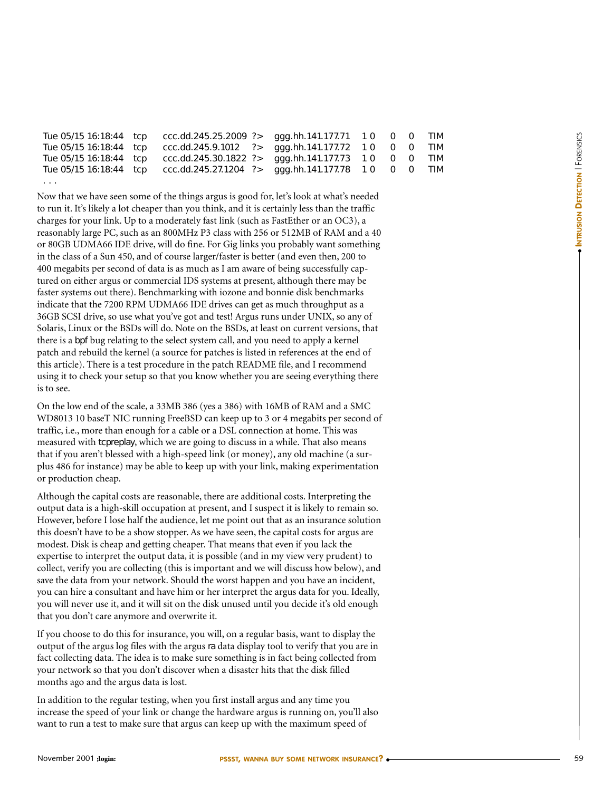|   | Tue 05/15 16:18:44 tcp ccc.dd.245.25.2009 ?> ggg.hh.141.177.71 10 0 0 TIM |  |  |  |
|---|---------------------------------------------------------------------------|--|--|--|
|   | Tue 05/15 16:18:44 tcp ccc.dd.245.9.1012 ?> ggg.hh.141.177.72 10 0 0 TIM  |  |  |  |
|   | Tue 05/15 16:18:44 tcp ccc.dd.245.30.1822 ?> ggg.hh.141.177.73 10 0 0 TIM |  |  |  |
|   | Tue 05/15 16:18:44 tcp ccc.dd.245.27.1204 ?> ggg.hh.141.177.78 10 0 0 TIM |  |  |  |
| . |                                                                           |  |  |  |

Now that we have seen some of the things argus is good for, let's look at what's needed to run it. It's likely a lot cheaper than you think, and it is certainly less than the traffic charges for your link. Up to a moderately fast link (such as FastEther or an OC3), a reasonably large PC, such as an 800MHz P3 class with 256 or 512MB of RAM and a 40 or 80GB UDMA66 IDE drive, will do fine. For Gig links you probably want something in the class of a Sun 450, and of course larger/faster is better (and even then, 200 to 400 megabits per second of data is as much as I am aware of being successfully captured on either argus or commercial IDS systems at present, although there may be faster systems out there). Benchmarking with iozone and bonnie disk benchmarks indicate that the 7200 RPM UDMA66 IDE drives can get as much throughput as a 36GB SCSI drive, so use what you've got and test! Argus runs under UNIX, so any of Solaris, Linux or the BSDs will do. Note on the BSDs, at least on current versions, that there is a bpf bug relating to the select system call, and you need to apply a kernel patch and rebuild the kernel (a source for patches is listed in references at the end of this article). There is a test procedure in the patch README file, and I recommend using it to check your setup so that you know whether you are seeing everything there is to see.

On the low end of the scale, a 33MB 386 (yes a 386) with 16MB of RAM and a SMC WD8013 10 baseT NIC running FreeBSD can keep up to 3 or 4 megabits per second of traffic, i.e., more than enough for a cable or a DSL connection at home. This was measured with tcpreplay, which we are going to discuss in a while. That also means that if you aren't blessed with a high-speed link (or money), any old machine (a surplus 486 for instance) may be able to keep up with your link, making experimentation or production cheap.

Although the capital costs are reasonable, there are additional costs. Interpreting the output data is a high-skill occupation at present, and I suspect it is likely to remain so. However, before I lose half the audience, let me point out that as an insurance solution this doesn't have to be a show stopper. As we have seen, the capital costs for argus are modest. Disk is cheap and getting cheaper. That means that even if you lack the expertise to interpret the output data, it is possible (and in my view very prudent) to collect, verify you are collecting (this is important and we will discuss how below), and save the data from your network. Should the worst happen and you have an incident, you can hire a consultant and have him or her interpret the argus data for you. Ideally, you will never use it, and it will sit on the disk unused until you decide it's old enough that you don't care anymore and overwrite it.

If you choose to do this for insurance, you will, on a regular basis, want to display the output of the argus log files with the argus ra data display tool to verify that you are in fact collecting data. The idea is to make sure something is in fact being collected from your network so that you don't discover when a disaster hits that the disk filled months ago and the argus data is lost.

In addition to the regular testing, when you first install argus and any time you increase the speed of your link or change the hardware argus is running on, you'll also want to run a test to make sure that argus can keep up with the maximum speed of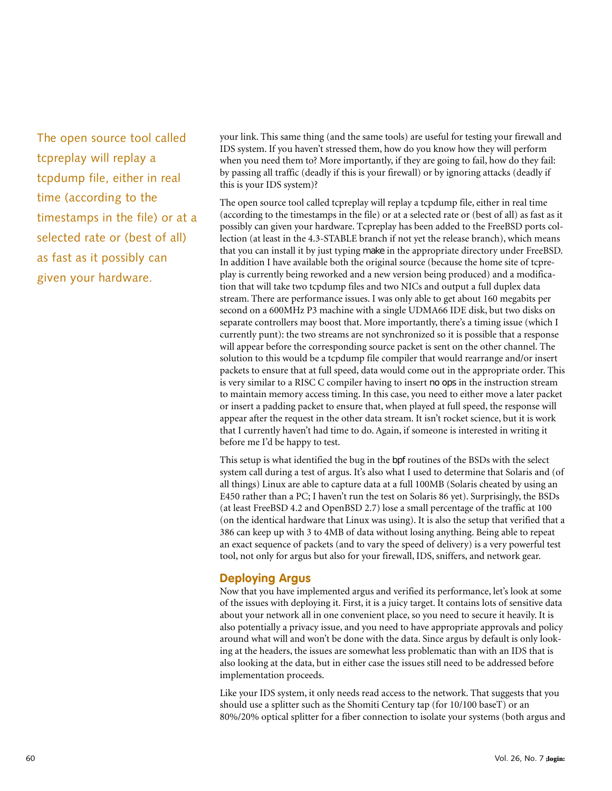The open source tool called tcpreplay will replay a tcpdump file, either in real time (according to the timestamps in the file) or at a selected rate or (best of all) as fast as it possibly can given your hardware.

your link. This same thing (and the same tools) are useful for testing your firewall and IDS system. If you haven't stressed them, how do you know how they will perform when you need them to? More importantly, if they are going to fail, how do they fail: by passing all traffic (deadly if this is your firewall) or by ignoring attacks (deadly if this is your IDS system)?

The open source tool called tcpreplay will replay a tcpdump file, either in real time (according to the timestamps in the file) or at a selected rate or (best of all) as fast as it possibly can given your hardware. Tcpreplay has been added to the FreeBSD ports collection (at least in the 4.3-STABLE branch if not yet the release branch), which means that you can install it by just typing make in the appropriate directory under FreeBSD. In addition I have available both the original source (because the home site of tcpreplay is currently being reworked and a new version being produced) and a modification that will take two tcpdump files and two NICs and output a full duplex data stream. There are performance issues. I was only able to get about 160 megabits per second on a 600MHz P3 machine with a single UDMA66 IDE disk, but two disks on separate controllers may boost that. More importantly, there's a timing issue (which I currently punt): the two streams are not synchronized so it is possible that a response will appear before the corresponding source packet is sent on the other channel. The solution to this would be a tcpdump file compiler that would rearrange and/or insert packets to ensure that at full speed, data would come out in the appropriate order. This is very similar to a RISC C compiler having to insert no ops in the instruction stream to maintain memory access timing. In this case, you need to either move a later packet or insert a padding packet to ensure that, when played at full speed, the response will appear after the request in the other data stream. It isn't rocket science, but it is work that I currently haven't had time to do. Again, if someone is interested in writing it before me I'd be happy to test.

This setup is what identified the bug in the bpf routines of the BSDs with the select system call during a test of argus. It's also what I used to determine that Solaris and (of all things) Linux are able to capture data at a full 100MB (Solaris cheated by using an E450 rather than a PC; I haven't run the test on Solaris 86 yet). Surprisingly, the BSDs (at least FreeBSD 4.2 and OpenBSD 2.7) lose a small percentage of the traffic at 100 (on the identical hardware that Linux was using). It is also the setup that verified that a 386 can keep up with 3 to 4MB of data without losing anything. Being able to repeat an exact sequence of packets (and to vary the speed of delivery) is a very powerful test tool, not only for argus but also for your firewall, IDS, sniffers, and network gear.

### **Deploying Argus**

Now that you have implemented argus and verified its performance, let's look at some of the issues with deploying it. First, it is a juicy target. It contains lots of sensitive data about your network all in one convenient place, so you need to secure it heavily. It is also potentially a privacy issue, and you need to have appropriate approvals and policy around what will and won't be done with the data. Since argus by default is only looking at the headers, the issues are somewhat less problematic than with an IDS that is also looking at the data, but in either case the issues still need to be addressed before implementation proceeds.

Like your IDS system, it only needs read access to the network. That suggests that you should use a splitter such as the Shomiti Century tap (for 10/100 baseT) or an 80%/20% optical splitter for a fiber connection to isolate your systems (both argus and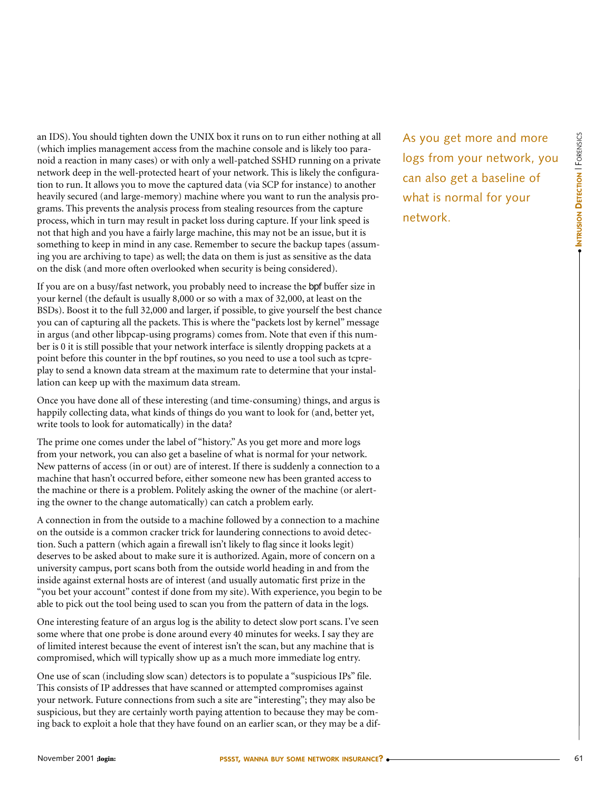an IDS). You should tighten down the UNIX box it runs on to run either nothing at all (which implies management access from the machine console and is likely too paranoid a reaction in many cases) or with only a well-patched SSHD running on a private network deep in the well-protected heart of your network. This is likely the configuration to run. It allows you to move the captured data (via SCP for instance) to another heavily secured (and large-memory) machine where you want to run the analysis programs. This prevents the analysis process from stealing resources from the capture process, which in turn may result in packet loss during capture. If your link speed is not that high and you have a fairly large machine, this may not be an issue, but it is something to keep in mind in any case. Remember to secure the backup tapes (assuming you are archiving to tape) as well; the data on them is just as sensitive as the data on the disk (and more often overlooked when security is being considered).

If you are on a busy/fast network, you probably need to increase the bpf buffer size in your kernel (the default is usually 8,000 or so with a max of 32,000, at least on the BSDs). Boost it to the full 32,000 and larger, if possible, to give yourself the best chance you can of capturing all the packets. This is where the "packets lost by kernel" message in argus (and other libpcap-using programs) comes from. Note that even if this number is 0 it is still possible that your network interface is silently dropping packets at a point before this counter in the bpf routines, so you need to use a tool such as tcpreplay to send a known data stream at the maximum rate to determine that your installation can keep up with the maximum data stream.

Once you have done all of these interesting (and time-consuming) things, and argus is happily collecting data, what kinds of things do you want to look for (and, better yet, write tools to look for automatically) in the data?

The prime one comes under the label of "history." As you get more and more logs from your network, you can also get a baseline of what is normal for your network. New patterns of access (in or out) are of interest. If there is suddenly a connection to a machine that hasn't occurred before, either someone new has been granted access to the machine or there is a problem. Politely asking the owner of the machine (or alerting the owner to the change automatically) can catch a problem early.

A connection in from the outside to a machine followed by a connection to a machine on the outside is a common cracker trick for laundering connections to avoid detection. Such a pattern (which again a firewall isn't likely to flag since it looks legit) deserves to be asked about to make sure it is authorized. Again, more of concern on a university campus, port scans both from the outside world heading in and from the inside against external hosts are of interest (and usually automatic first prize in the "you bet your account" contest if done from my site). With experience, you begin to be able to pick out the tool being used to scan you from the pattern of data in the logs.

One interesting feature of an argus log is the ability to detect slow port scans. I've seen some where that one probe is done around every 40 minutes for weeks. I say they are of limited interest because the event of interest isn't the scan, but any machine that is compromised, which will typically show up as a much more immediate log entry.

One use of scan (including slow scan) detectors is to populate a "suspicious IPs" file. This consists of IP addresses that have scanned or attempted compromises against your network. Future connections from such a site are "interesting"; they may also be suspicious, but they are certainly worth paying attention to because they may be coming back to exploit a hole that they have found on an earlier scan, or they may be a dif-

As you get more and more logs from your network, you can also get a baseline of what is normal for your network.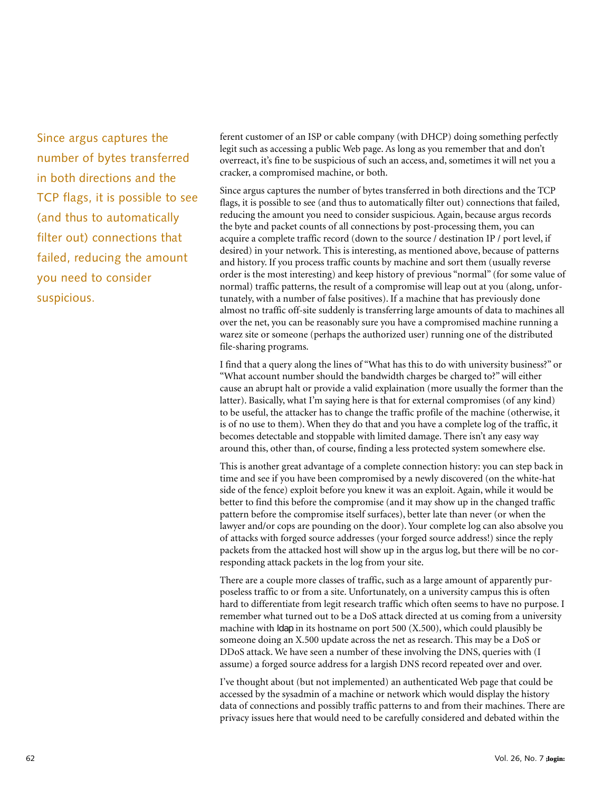Since argus captures the number of bytes transferred in both directions and the TCP flags, it is possible to see (and thus to automatically filter out) connections that failed, reducing the amount you need to consider suspicious.

ferent customer of an ISP or cable company (with DHCP) doing something perfectly legit such as accessing a public Web page. As long as you remember that and don't overreact, it's fine to be suspicious of such an access, and, sometimes it will net you a cracker, a compromised machine, or both.

Since argus captures the number of bytes transferred in both directions and the TCP flags, it is possible to see (and thus to automatically filter out) connections that failed, reducing the amount you need to consider suspicious. Again, because argus records the byte and packet counts of all connections by post-processing them, you can acquire a complete traffic record (down to the source / destination IP / port level, if desired) in your network. This is interesting, as mentioned above, because of patterns and history. If you process traffic counts by machine and sort them (usually reverse order is the most interesting) and keep history of previous "normal" (for some value of normal) traffic patterns, the result of a compromise will leap out at you (along, unfortunately, with a number of false positives). If a machine that has previously done almost no traffic off-site suddenly is transferring large amounts of data to machines all over the net, you can be reasonably sure you have a compromised machine running a warez site or someone (perhaps the authorized user) running one of the distributed file-sharing programs.

I find that a query along the lines of "What has this to do with university business?" or "What account number should the bandwidth charges be charged to?" will either cause an abrupt halt or provide a valid explaination (more usually the former than the latter). Basically, what I'm saying here is that for external compromises (of any kind) to be useful, the attacker has to change the traffic profile of the machine (otherwise, it is of no use to them). When they do that and you have a complete log of the traffic, it becomes detectable and stoppable with limited damage. There isn't any easy way around this, other than, of course, finding a less protected system somewhere else.

This is another great advantage of a complete connection history: you can step back in time and see if you have been compromised by a newly discovered (on the white-hat side of the fence) exploit before you knew it was an exploit. Again, while it would be better to find this before the compromise (and it may show up in the changed traffic pattern before the compromise itself surfaces), better late than never (or when the lawyer and/or cops are pounding on the door). Your complete log can also absolve you of attacks with forged source addresses (your forged source address!) since the reply packets from the attacked host will show up in the argus log, but there will be no corresponding attack packets in the log from your site.

There are a couple more classes of traffic, such as a large amount of apparently purposeless traffic to or from a site. Unfortunately, on a university campus this is often hard to differentiate from legit research traffic which often seems to have no purpose. I remember what turned out to be a DoS attack directed at us coming from a university machine with ldap in its hostname on port 500 (X.500), which could plausibly be someone doing an X.500 update across the net as research. This may be a DoS or DDoS attack. We have seen a number of these involving the DNS, queries with (I assume) a forged source address for a largish DNS record repeated over and over.

I've thought about (but not implemented) an authenticated Web page that could be accessed by the sysadmin of a machine or network which would display the history data of connections and possibly traffic patterns to and from their machines. There are privacy issues here that would need to be carefully considered and debated within the